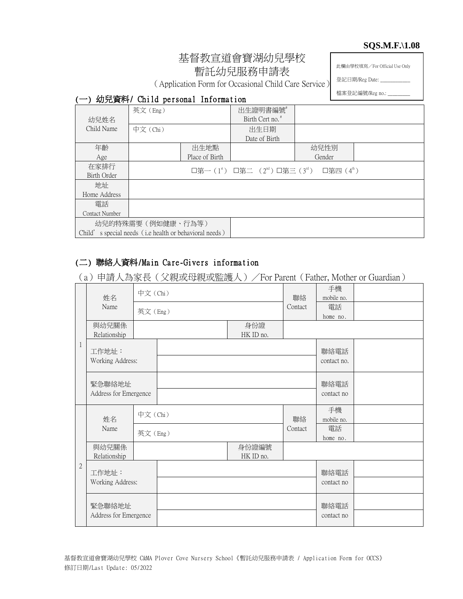#### **SQS.M.F.\1.08**

# 基督教宣道會寶湖幼兒學校 暫託幼兒服務申請表

此欄由學校填寫/For Official Use Only

登記日期/Reg Date: \_

檔案登記編號/Reg no.: \_

# (Application Form for Occasional Child Care Service)

|  |  |  |  | (一) 幼兒資料/ Child personal Information |
|--|--|--|--|--------------------------------------|
|--|--|--|--|--------------------------------------|

|                | 英文(Eng)                                                |                | 出生證明書編號                                                                                 |        |  |
|----------------|--------------------------------------------------------|----------------|-----------------------------------------------------------------------------------------|--------|--|
| 幼兒姓名           |                                                        |                | Birth Cert no. <sup>#</sup>                                                             |        |  |
| Child Name     | 中文 (Chi)                                               |                | 出生日期                                                                                    |        |  |
|                |                                                        |                | Date of Birth                                                                           |        |  |
| 年齡             |                                                        | 出生地點           |                                                                                         | 幼兒性別   |  |
| Age            |                                                        | Place of Birth |                                                                                         | Gender |  |
| 在家排行           |                                                        |                | □第一(1 <sup>s</sup> ) □第二 (2 <sup>nd</sup> ) □第三(3 <sup>rd</sup> ) □第四(4 <sup>th</sup> ) |        |  |
| Birth Order    |                                                        |                |                                                                                         |        |  |
| 地址             |                                                        |                |                                                                                         |        |  |
| Home Address   |                                                        |                |                                                                                         |        |  |
| 電話             |                                                        |                |                                                                                         |        |  |
| Contact Number |                                                        |                |                                                                                         |        |  |
|                | 幼兒的特殊需要 (例如健康、行為等)                                     |                |                                                                                         |        |  |
|                | Child's special needs (i.e health or behavioral needs) |                |                                                                                         |        |  |

# (二) 聯絡人資料/Main Care-Givers information

(a)申請人為家長(父親或母親或監護人)/For Parent(Father, Mother or Guardian)

| 姓名           |                                 | 中文(Chi) |         |                    | 聯絡                     | 手機<br>mobile no.    |  |
|--------------|---------------------------------|---------|---------|--------------------|------------------------|---------------------|--|
|              | Name                            | 英文(Eng) |         |                    | Contact                | 電話<br>home no.      |  |
|              | 與幼兒關係<br>Relationship           |         |         | 身份證<br>HK ID no.   |                        |                     |  |
| 1            | 工作地址:<br>Working Address:       |         |         |                    |                        | 聯絡電話<br>contact no. |  |
|              | 緊急聯絡地址<br>Address for Emergence |         |         |                    | 聯絡電話<br>contact no     |                     |  |
|              | 姓名                              |         | 中文(Chi) |                    | 手機<br>聯絡<br>mobile no. |                     |  |
|              | Name                            | 英文(Eng) |         |                    | Contact                | 電話<br>home no.      |  |
|              | 與幼兒關係<br>Relationship           |         |         | 身份證編號<br>HK ID no. |                        |                     |  |
| $\mathbf{2}$ | 工作地址:<br>Working Address:       |         |         |                    |                        | 聯絡電話                |  |
|              |                                 |         |         |                    |                        | contact no          |  |
|              | 緊急聯絡地址<br>Address for Emergence |         |         |                    |                        | 聯絡電話                |  |
|              |                                 |         |         |                    |                        | contact no          |  |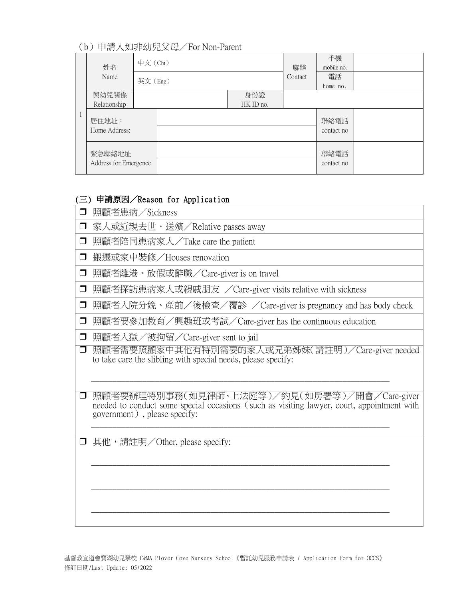### (b)申請人如非幼兒父母/For Non-Parent

| 姓名                              | 中文 (Chi) |         | 聯絡               | 手機<br>mobile no. |                    |  |
|---------------------------------|----------|---------|------------------|------------------|--------------------|--|
| Name                            |          | 英文(Eng) |                  |                  | 電話                 |  |
| 與幼兒關係<br>Relationship           |          |         | 身份證<br>HK ID no. |                  | home no.           |  |
| 居住地址:<br>Home Address:          |          |         |                  |                  | 聯絡電話<br>contact no |  |
| 緊急聯絡地址<br>Address for Emergence |          |         |                  |                  | 聯絡電話<br>contact no |  |

#### (三) 申請原因/Reason for Application

- 家人或近親去世、送殯/Relative passes away
- □ 照顧者陪同患病家人/Take care the patient
- □ 搬遷或家中裝修/Houses renovation
- 照顧者離港、放假或辭職/Care-giver is on travel
- □ 照顧者探訪患病家人或親戚朋友 /Care-giver visits relative with sickness
- □ 照顧者入院分娩、產前/後檢查/覆診 /Care-giver is pregnancy and has body check
- 照顧者要參加教育/興趣班或考試/Care-giver has the continuous education
- □ 照顧者入獄/被拘留/Care-giver sent to jail
- □ 照顧者需要照顧家中其他有特別需要的家人或兄弟姊妹(請註明)/Care-giver needed to take care the slibling with special needs, please specify:

\_\_\_\_\_\_\_\_\_\_\_\_\_\_\_\_\_\_\_\_\_\_\_\_\_\_\_\_\_\_\_\_\_\_\_\_\_\_\_\_\_\_\_\_\_\_\_\_\_\_\_\_\_\_\_\_\_\_\_\_\_\_\_\_\_\_\_\_\_\_

\_\_\_\_\_\_\_\_\_\_\_\_\_\_\_\_\_\_\_\_\_\_\_\_\_\_\_\_\_\_\_\_\_\_\_\_\_\_\_\_\_\_\_\_\_\_\_\_\_\_\_\_\_\_\_\_\_\_\_\_\_\_\_\_\_\_\_\_\_\_

\_\_\_\_\_\_\_\_\_\_\_\_\_\_\_\_\_\_\_\_\_\_\_\_\_\_\_\_\_\_\_\_\_\_\_\_\_\_\_\_\_\_\_\_\_\_\_\_\_\_\_\_\_\_\_\_\_\_\_\_\_\_\_\_\_\_\_\_\_\_

 $\_$  , and the set of the set of the set of the set of the set of the set of the set of the set of the set of the set of the set of the set of the set of the set of the set of the set of the set of the set of the set of th

- 照顧者要辦理特別事務(如見律師、上法庭等)/約見(如房署等)/開會/Care-giver needed to conduct some special occasions (such as visiting lawyer, court, appointment with government), please specify: \_\_\_\_\_\_\_\_\_\_\_\_\_\_\_\_\_\_\_\_\_\_\_\_\_\_\_\_\_\_\_\_\_\_\_\_\_\_\_\_\_\_\_\_\_\_\_\_\_\_\_\_\_\_\_\_\_\_\_\_\_\_\_\_\_\_\_\_\_\_
- □ 其他, 請註明/Other, please specify: